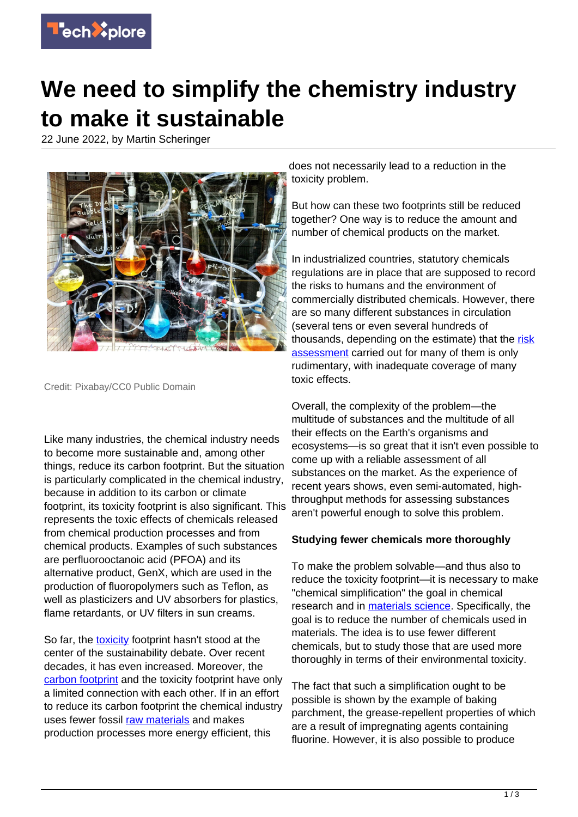

## **We need to simplify the chemistry industry to make it sustainable**

22 June 2022, by Martin Scheringer



Credit: Pixabay/CC0 Public Domain

Like many industries, the chemical industry needs to become more sustainable and, among other things, reduce its carbon footprint. But the situation is particularly complicated in the chemical industry, because in addition to its carbon or climate footprint, its toxicity footprint is also significant. This represents the toxic effects of chemicals released from chemical production processes and from chemical products. Examples of such substances are perfluorooctanoic acid (PFOA) and its alternative product, GenX, which are used in the production of fluoropolymers such as Teflon, as well as plasticizers and UV absorbers for plastics, flame retardants, or UV filters in sun creams.

So far, the [toxicity](https://techxplore.com/tags/toxicity/) footprint hasn't stood at the center of the sustainability debate. Over recent decades, it has even increased. Moreover, the [carbon footprint](https://techxplore.com/tags/carbon+footprint/) and the toxicity footprint have only a limited connection with each other. If in an effort to reduce its carbon footprint the chemical industry uses fewer fossil [raw materials](https://techxplore.com/tags/raw+materials/) and makes production processes more energy efficient, this

does not necessarily lead to a reduction in the toxicity problem.

But how can these two footprints still be reduced together? One way is to reduce the amount and number of chemical products on the market.

In industrialized countries, statutory chemicals regulations are in place that are supposed to record the risks to humans and the environment of commercially distributed chemicals. However, there are so many different substances in circulation (several tens or even several hundreds of thousands, depending on the estimate) that the [risk](https://techxplore.com/tags/risk+assessment/) [assessment](https://techxplore.com/tags/risk+assessment/) carried out for many of them is only rudimentary, with inadequate coverage of many toxic effects.

Overall, the complexity of the problem—the multitude of substances and the multitude of all their effects on the Earth's organisms and ecosystems—is so great that it isn't even possible to come up with a reliable assessment of all substances on the market. As the experience of recent years shows, even semi-automated, highthroughput methods for assessing substances aren't powerful enough to solve this problem.

## **Studying fewer chemicals more thoroughly**

To make the problem solvable—and thus also to reduce the toxicity footprint—it is necessary to make "chemical simplification" the goal in chemical research and in [materials science](https://techxplore.com/tags/materials+science/). Specifically, the goal is to reduce the number of chemicals used in materials. The idea is to use fewer different chemicals, but to study those that are used more thoroughly in terms of their environmental toxicity.

The fact that such a simplification ought to be possible is shown by the example of baking parchment, the grease-repellent properties of which are a result of impregnating agents containing fluorine. However, it is also possible to produce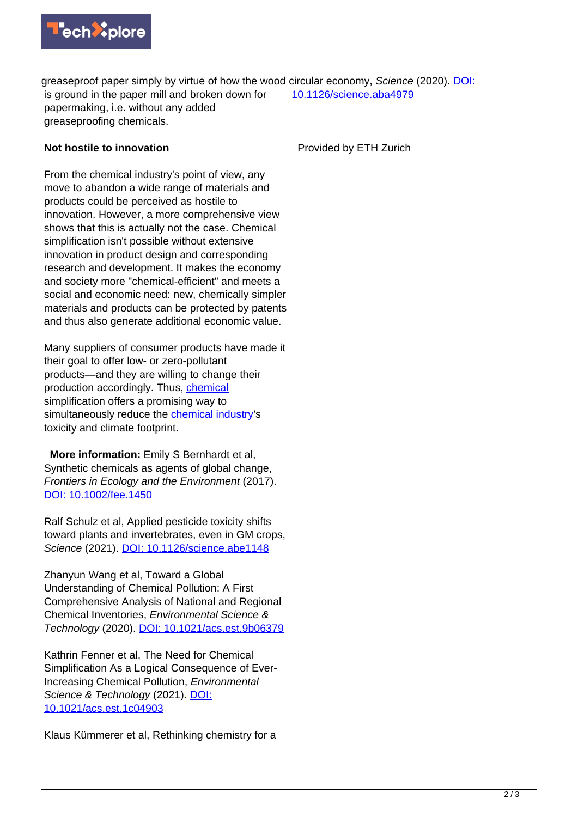

greaseproof paper simply by virtue of how the wood circular economy, Science (2020). [DOI:](https://dx.doi.org/10.1126/science.aba4979) is ground in the paper mill and broken down for papermaking, i.e. without any added greaseproofing chemicals. [10.1126/science.aba4979](https://dx.doi.org/10.1126/science.aba4979)

## **Not hostile to innovation**

Provided by ETH Zurich

From the chemical industry's point of view, any move to abandon a wide range of materials and products could be perceived as hostile to innovation. However, a more comprehensive view shows that this is actually not the case. Chemical simplification isn't possible without extensive innovation in product design and corresponding research and development. It makes the economy and society more "chemical-efficient" and meets a social and economic need: new, chemically simpler materials and products can be protected by patents and thus also generate additional economic value.

Many suppliers of consumer products have made it their goal to offer low- or zero-pollutant products—and they are willing to change their production accordingly. Thus, [chemical](https://techxplore.com/tags/chemical/) simplification offers a promising way to simultaneously reduce the [chemical industry](https://techxplore.com/tags/chemical+industry/)'s toxicity and climate footprint.

 **More information:** Emily S Bernhardt et al, Synthetic chemicals as agents of global change, Frontiers in Ecology and the Environment (2017). [DOI: 10.1002/fee.1450](https://dx.doi.org/10.1002/fee.1450)

Ralf Schulz et al, Applied pesticide toxicity shifts toward plants and invertebrates, even in GM crops, Science (2021). [DOI: 10.1126/science.abe1148](https://dx.doi.org/10.1126/science.abe1148)

Zhanyun Wang et al, Toward a Global Understanding of Chemical Pollution: A First Comprehensive Analysis of National and Regional Chemical Inventories, Environmental Science & Technology (2020). [DOI: 10.1021/acs.est.9b06379](https://dx.doi.org/10.1021/acs.est.9b06379)

Kathrin Fenner et al, The Need for Chemical Simplification As a Logical Consequence of Ever-Increasing Chemical Pollution, Environmental Science & Technology (2021). [DOI:](https://dx.doi.org/10.1021/acs.est.1c04903) [10.1021/acs.est.1c04903](https://dx.doi.org/10.1021/acs.est.1c04903)

Klaus Kümmerer et al, Rethinking chemistry for a